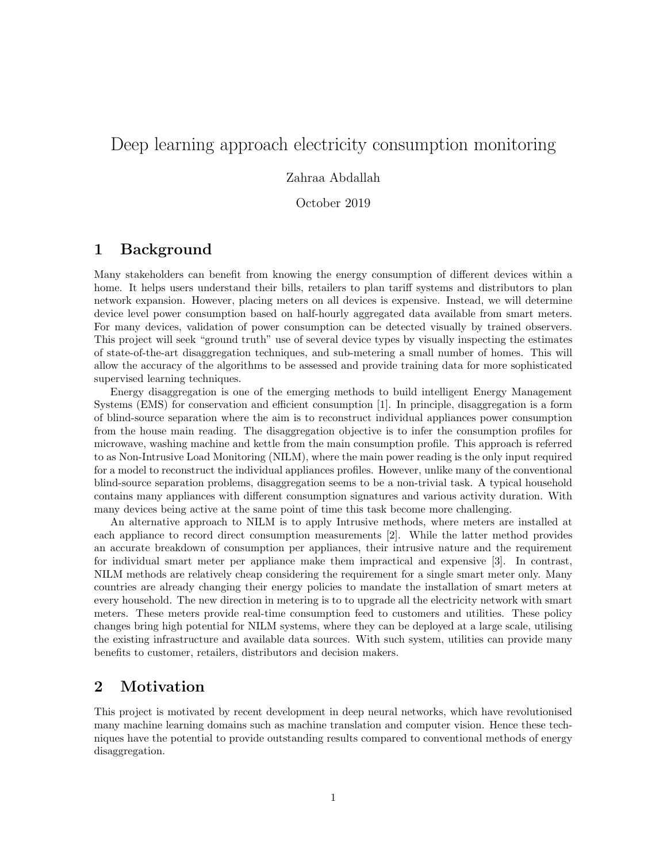# Deep learning approach electricity consumption monitoring

#### Zahraa Abdallah

October 2019

### 1 Background

Many stakeholders can benefit from knowing the energy consumption of different devices within a home. It helps users understand their bills, retailers to plan tariff systems and distributors to plan network expansion. However, placing meters on all devices is expensive. Instead, we will determine device level power consumption based on half-hourly aggregated data available from smart meters. For many devices, validation of power consumption can be detected visually by trained observers. This project will seek "ground truth" use of several device types by visually inspecting the estimates of state-of-the-art disaggregation techniques, and sub-metering a small number of homes. This will allow the accuracy of the algorithms to be assessed and provide training data for more sophisticated supervised learning techniques.

Energy disaggregation is one of the emerging methods to build intelligent Energy Management Systems (EMS) for conservation and efficient consumption [1]. In principle, disaggregation is a form of blind-source separation where the aim is to reconstruct individual appliances power consumption from the house main reading. The disaggregation objective is to infer the consumption profiles for microwave, washing machine and kettle from the main consumption profile. This approach is referred to as Non-Intrusive Load Monitoring (NILM), where the main power reading is the only input required for a model to reconstruct the individual appliances profiles. However, unlike many of the conventional blind-source separation problems, disaggregation seems to be a non-trivial task. A typical household contains many appliances with different consumption signatures and various activity duration. With many devices being active at the same point of time this task become more challenging.

An alternative approach to NILM is to apply Intrusive methods, where meters are installed at each appliance to record direct consumption measurements [2]. While the latter method provides an accurate breakdown of consumption per appliances, their intrusive nature and the requirement for individual smart meter per appliance make them impractical and expensive [3]. In contrast, NILM methods are relatively cheap considering the requirement for a single smart meter only. Many countries are already changing their energy policies to mandate the installation of smart meters at every household. The new direction in metering is to to upgrade all the electricity network with smart meters. These meters provide real-time consumption feed to customers and utilities. These policy changes bring high potential for NILM systems, where they can be deployed at a large scale, utilising the existing infrastructure and available data sources. With such system, utilities can provide many benefits to customer, retailers, distributors and decision makers.

### 2 Motivation

This project is motivated by recent development in deep neural networks, which have revolutionised many machine learning domains such as machine translation and computer vision. Hence these techniques have the potential to provide outstanding results compared to conventional methods of energy disaggregation.